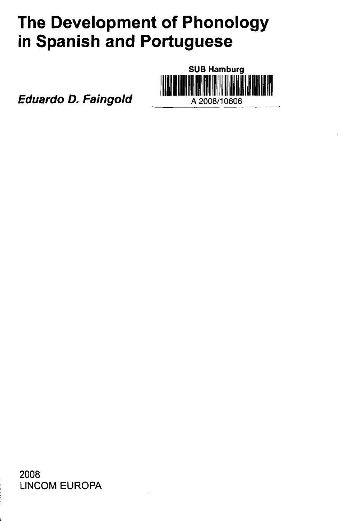## **The Development of Phonology** in Spanish and Portuguese

**SUB Hamburg** A 2008/10606

**Eduardo D. Faingold** 

2008 **LINCOM EUROPA**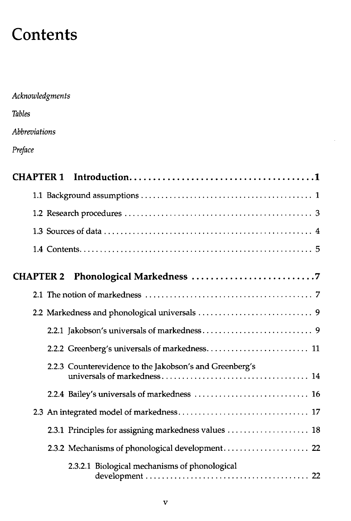## **Contents**

| Acknowledgments                                         |
|---------------------------------------------------------|
| <b>Tables</b>                                           |
| Abbreviations                                           |
| Preface                                                 |
| <b>CHAPTER 1</b>                                        |
|                                                         |
|                                                         |
|                                                         |
|                                                         |
| <b>CHAPTER 2</b>                                        |
|                                                         |
|                                                         |
|                                                         |
|                                                         |
| 2.2.3 Counterevidence to the Jakobson's and Greenberg's |
|                                                         |
|                                                         |
|                                                         |
| 2.3.2 Mechanisms of phonological development 22         |
| 2.3.2.1 Biological mechanisms of phonological           |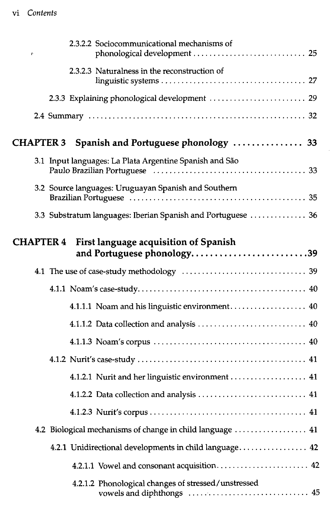## vi *Contents*

| 2.3.2.2 Sociocommunicational mechanisms of<br>r                                         |
|-----------------------------------------------------------------------------------------|
| 2.3.2.3 Naturalness in the reconstruction of                                            |
| 2.3.3 Explaining phonological development  29                                           |
|                                                                                         |
| CHAPTER 3 Spanish and Portuguese phonology  33                                          |
| 3.1 Input languages: La Plata Argentine Spanish and São                                 |
| 3.2 Source languages: Uruguayan Spanish and Southern                                    |
| 3.3 Substratum languages: Iberian Spanish and Portuguese  36                            |
| <b>CHAPTER 4</b><br>First language acquisition of Spanish<br>and Portuguese phonology39 |
|                                                                                         |
|                                                                                         |
| 4.1.1.1 Noam and his linguistic environment 40                                          |
|                                                                                         |
|                                                                                         |
|                                                                                         |
| 4.1.2.1 Nurit and her linguistic environment  41                                        |
|                                                                                         |
|                                                                                         |
| 4.2 Biological mechanisms of change in child language  41                               |
|                                                                                         |
| 4.2.1.1 Vowel and consonant acquisition 42                                              |
| 4.2.1.2 Phonological changes of stressed/unstressed                                     |

 $\hat{\boldsymbol{\beta}}$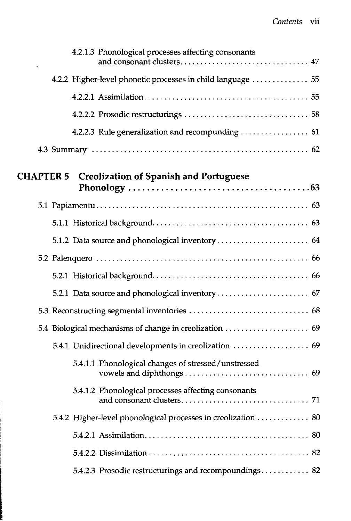|                  | 4.2.1.3 Phonological processes affecting consonants           |  |
|------------------|---------------------------------------------------------------|--|
|                  |                                                               |  |
|                  | 4.2.2 Higher-level phonetic processes in child language  55   |  |
|                  |                                                               |  |
|                  |                                                               |  |
|                  |                                                               |  |
|                  |                                                               |  |
| <b>CHAPTER 5</b> | <b>Creolization of Spanish and Portuguese</b>                 |  |
|                  |                                                               |  |
|                  |                                                               |  |
|                  |                                                               |  |
|                  |                                                               |  |
|                  |                                                               |  |
|                  |                                                               |  |
|                  |                                                               |  |
|                  |                                                               |  |
|                  | 5.4.1 Unidirectional developments in creolization  69         |  |
|                  | 5.4.1.1 Phonological changes of stressed/unstressed           |  |
|                  | 5.4.1.2 Phonological processes affecting consonants           |  |
|                  | 5.4.2 Higher-level phonological processes in creolization  80 |  |
|                  |                                                               |  |
|                  |                                                               |  |
|                  | 5.4.2.3 Prosodic restructurings and recompoundings 82         |  |
|                  |                                                               |  |